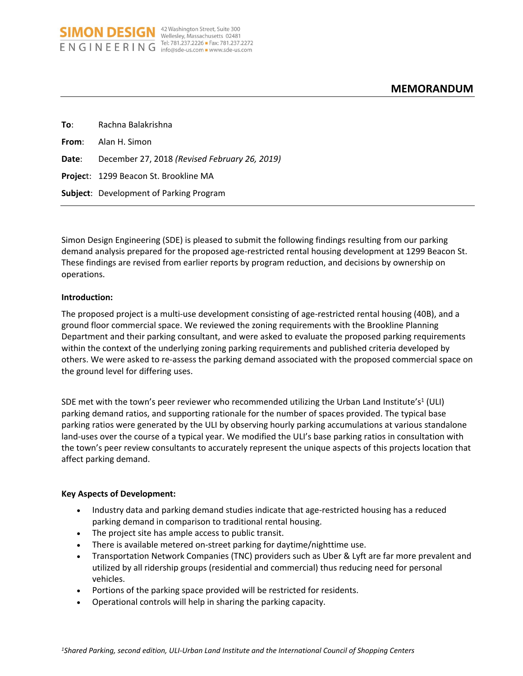| To: To | Rachna Balakrishna                                  |
|--------|-----------------------------------------------------|
|        | <b>From:</b> Alan H. Simon                          |
|        | Date: December 27, 2018 (Revised February 26, 2019) |
|        | <b>Project: 1299 Beacon St. Brookline MA</b>        |
|        | <b>Subject:</b> Development of Parking Program      |

**SIMON DESIGN** <sup>42 Washington Street, Suite 300</sup> ENGINEERING Tel: 781.237.2226 Fax: 781.237.2272

Simon Design Engineering (SDE) is pleased to submit the following findings resulting from our parking demand analysis prepared for the proposed age-restricted rental housing development at 1299 Beacon St. These findings are revised from earlier reports by program reduction, and decisions by ownership on operations.

#### **Introduction:**

The proposed project is a multi-use development consisting of age-restricted rental housing (40B), and a ground floor commercial space. We reviewed the zoning requirements with the Brookline Planning Department and their parking consultant, and were asked to evaluate the proposed parking requirements within the context of the underlying zoning parking requirements and published criteria developed by others. We were asked to re-assess the parking demand associated with the proposed commercial space on the ground level for differing uses.

SDE met with the town's peer reviewer who recommended utilizing the Urban Land Institute's<sup>1</sup> (ULI) parking demand ratios, and supporting rationale for the number of spaces provided. The typical base parking ratios were generated by the ULI by observing hourly parking accumulations at various standalone land-uses over the course of a typical year. We modified the ULI's base parking ratios in consultation with the town's peer review consultants to accurately represent the unique aspects of this projects location that affect parking demand.

#### **Key Aspects of Development:**

- Industry data and parking demand studies indicate that age-restricted housing has a reduced parking demand in comparison to traditional rental housing.
- The project site has ample access to public transit.
- There is available metered on-street parking for daytime/nighttime use.
- Transportation Network Companies (TNC) providers such as Uber & Lyft are far more prevalent and utilized by all ridership groups (residential and commercial) thus reducing need for personal vehicles.
- Portions of the parking space provided will be restricted for residents.
- Operational controls will help in sharing the parking capacity.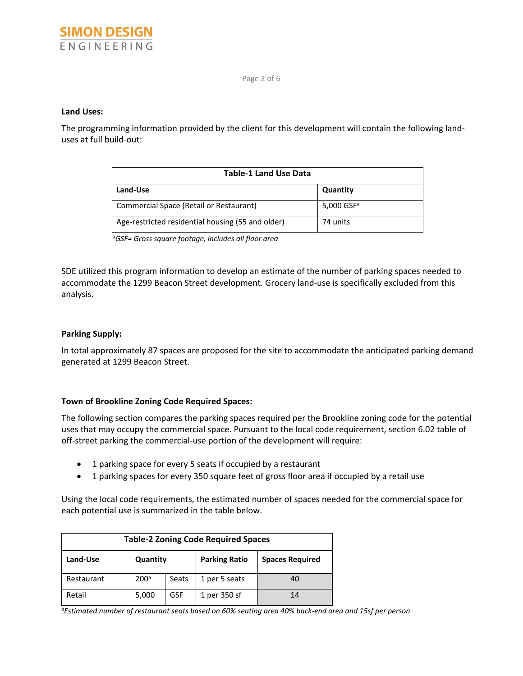#### **Land Uses:**

The programming information provided by the client for this development will contain the following landuses at full build-out:

| <b>Table-1 Land Use Data</b>                      |                          |  |  |  |
|---------------------------------------------------|--------------------------|--|--|--|
| Land-Use                                          | Quantity                 |  |  |  |
| Commercial Space (Retail or Restaurant)           | $5,000$ GSF <sup>a</sup> |  |  |  |
| Age-restricted residential housing (55 and older) | 74 units                 |  |  |  |

<sup>a</sup>*GSF= Gross square footage, includes all floor area*

SDE utilized this program information to develop an estimate of the number of parking spaces needed to accommodate the 1299 Beacon Street development. Grocery land-use is specifically excluded from this analysis.

#### **Parking Supply:**

In total approximately 87 spaces are proposed for the site to accommodate the anticipated parking demand generated at 1299 Beacon Street.

# **Town of Brookline Zoning Code Required Spaces:**

The following section compares the parking spaces required per the Brookline zoning code for the potential uses that may occupy the commercial space. Pursuant to the local code requirement, section 6.02 table of off-street parking the commercial-use portion of the development will require:

- 1 parking space for every 5 seats if occupied by a restaurant
- 1 parking spaces for every 350 square feet of gross floor area if occupied by a retail use

Using the local code requirements, the estimated number of spaces needed for the commercial space for each potential use is summarized in the table below.

| <b>Table-2 Zoning Code Required Spaces</b> |                  |       |                      |                        |  |  |
|--------------------------------------------|------------------|-------|----------------------|------------------------|--|--|
| Land-Use                                   | Quantity         |       | <b>Parking Ratio</b> | <b>Spaces Required</b> |  |  |
| Restaurant                                 | 200 <sup>a</sup> | Seats | 1 per 5 seats        | 40                     |  |  |
| Retail                                     | 5,000            | GSF   | 1 per 350 sf         | 14                     |  |  |

*aEstimated number of restaurant seats based on 60% seating area 40% back-end area and 15sf per person*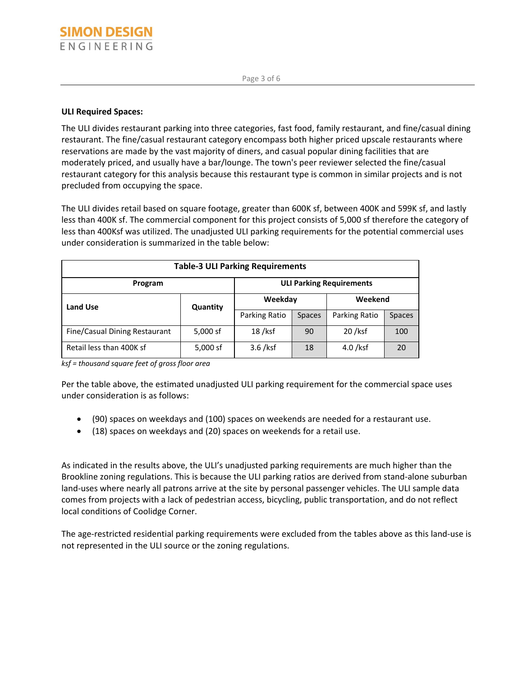# **ULI Required Spaces:**

The ULI divides restaurant parking into three categories, fast food, family restaurant, and fine/casual dining restaurant. The fine/casual restaurant category encompass both higher priced upscale restaurants where reservations are made by the vast majority of diners, and casual popular dining facilities that are moderately priced, and usually have a bar/lounge. The town's peer reviewer selected the fine/casual restaurant category for this analysis because this restaurant type is common in similar projects and is not precluded from occupying the space.

The ULI divides retail based on square footage, greater than 600K sf, between 400K and 599K sf, and lastly less than 400K sf. The commercial component for this project consists of 5,000 sf therefore the category of less than 400Ksf was utilized. The unadjusted ULI parking requirements for the potential commercial uses under consideration is summarized in the table below:

| <b>Table-3 ULI Parking Requirements</b> |                                 |               |               |               |               |  |  |
|-----------------------------------------|---------------------------------|---------------|---------------|---------------|---------------|--|--|
| Program                                 | <b>ULI Parking Requirements</b> |               |               |               |               |  |  |
| <b>Land Use</b>                         | Quantity                        | Weekday       |               | Weekend       |               |  |  |
|                                         |                                 | Parking Ratio | <b>Spaces</b> | Parking Ratio | <b>Spaces</b> |  |  |
| Fine/Casual Dining Restaurant           | $5,000$ sf                      | $18$ /ksf     | 90            | 20 /ksf       | 100           |  |  |
| Retail less than 400K sf                | 5,000 sf                        | $3.6$ /ksf    | 18            | $4.0$ /ksf    | 20            |  |  |

*ksf = thousand square feet of gross floor area*

Per the table above, the estimated unadjusted ULI parking requirement for the commercial space uses under consideration is as follows:

- (90) spaces on weekdays and (100) spaces on weekends are needed for a restaurant use.
- (18) spaces on weekdays and (20) spaces on weekends for a retail use.

As indicated in the results above, the ULI's unadjusted parking requirements are much higher than the Brookline zoning regulations. This is because the ULI parking ratios are derived from stand-alone suburban land-uses where nearly all patrons arrive at the site by personal passenger vehicles. The ULI sample data comes from projects with a lack of pedestrian access, bicycling, public transportation, and do not reflect local conditions of Coolidge Corner.

The age-restricted residential parking requirements were excluded from the tables above as this land-use is not represented in the ULI source or the zoning regulations.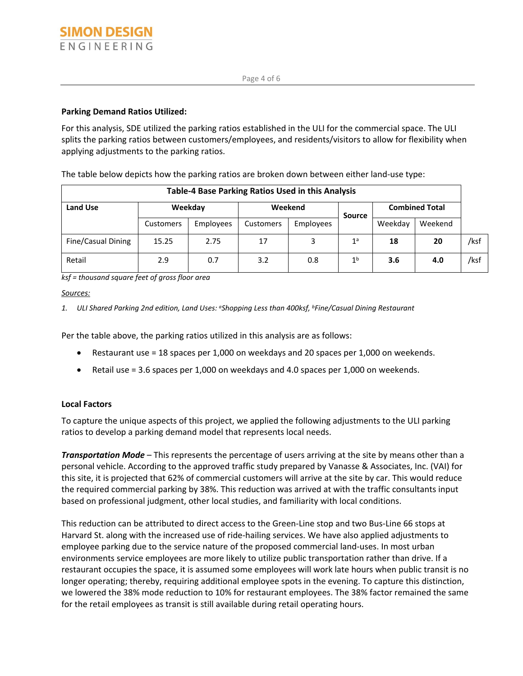# **Parking Demand Ratios Utilized:**

For this analysis, SDE utilized the parking ratios established in the ULI for the commercial space. The ULI splits the parking ratios between customers/employees, and residents/visitors to allow for flexibility when applying adjustments to the parking ratios.

The table below depicts how the parking ratios are broken down between either land-use type:

| <b>Table-4 Base Parking Ratios Used in this Analysis</b> |           |           |           |           |                |                       |         |      |
|----------------------------------------------------------|-----------|-----------|-----------|-----------|----------------|-----------------------|---------|------|
| <b>Land Use</b>                                          |           | Weekday   | Weekend   |           | <b>Source</b>  | <b>Combined Total</b> |         |      |
|                                                          | Customers | Employees | Customers | Employees |                | Weekday               | Weekend |      |
| Fine/Casual Dining                                       | 15.25     | 2.75      | 17        | 3         | 1 <sup>a</sup> | 18                    | 20      | /ksf |
| Retail                                                   | 2.9       | 0.7       | 3.2       | 0.8       | 1 <sup>b</sup> | 3.6                   | 4.0     | /ksf |

*ksf = thousand square feet of gross floor area*

# *Sources:*

*1. ULI Shared Parking 2nd edition, Land Uses: <sup>a</sup>Shopping Less than 400ksf, <sup>b</sup>Fine/Casual Dining Restaurant*

Per the table above, the parking ratios utilized in this analysis are as follows:

- Restaurant use = 18 spaces per 1,000 on weekdays and 20 spaces per 1,000 on weekends.
- Retail use = 3.6 spaces per 1,000 on weekdays and 4.0 spaces per 1,000 on weekends.

# **Local Factors**

To capture the unique aspects of this project, we applied the following adjustments to the ULI parking ratios to develop a parking demand model that represents local needs.

*Transportation Mode* – This represents the percentage of users arriving at the site by means other than a personal vehicle. According to the approved traffic study prepared by Vanasse & Associates, Inc. (VAI) for this site, it is projected that 62% of commercial customers will arrive at the site by car. This would reduce the required commercial parking by 38%. This reduction was arrived at with the traffic consultants input based on professional judgment, other local studies, and familiarity with local conditions.

This reduction can be attributed to direct access to the Green-Line stop and two Bus-Line 66 stops at Harvard St. along with the increased use of ride-hailing services. We have also applied adjustments to employee parking due to the service nature of the proposed commercial land-uses. In most urban environments service employees are more likely to utilize public transportation rather than drive. If a restaurant occupies the space, it is assumed some employees will work late hours when public transit is no longer operating; thereby, requiring additional employee spots in the evening. To capture this distinction, we lowered the 38% mode reduction to 10% for restaurant employees. The 38% factor remained the same for the retail employees as transit is still available during retail operating hours.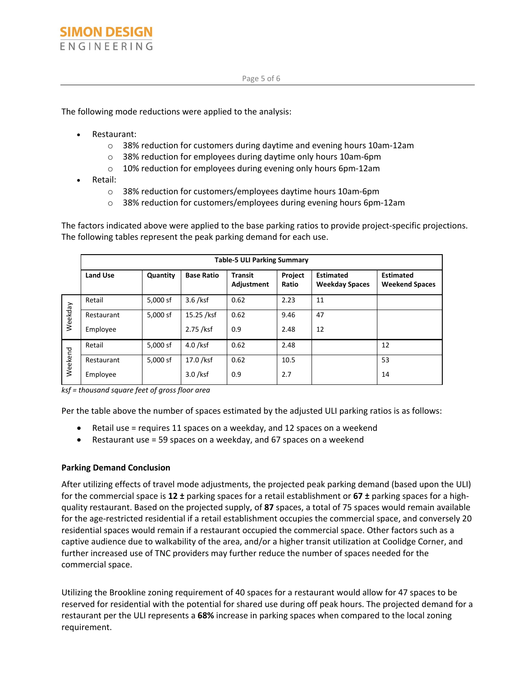The following mode reductions were applied to the analysis:

- Restaurant:
	- o 38% reduction for customers during daytime and evening hours 10am-12am
	- o 38% reduction for employees during daytime only hours 10am-6pm
	- o 10% reduction for employees during evening only hours 6pm-12am
- Retail:
	- o 38% reduction for customers/employees daytime hours 10am-6pm
	- o 38% reduction for customers/employees during evening hours 6pm-12am

The factors indicated above were applied to the base parking ratios to provide project-specific projections. The following tables represent the peak parking demand for each use.

|         | <b>Table-5 ULI Parking Summary</b> |          |                   |                              |                  |                                           |                                           |  |
|---------|------------------------------------|----------|-------------------|------------------------------|------------------|-------------------------------------------|-------------------------------------------|--|
|         | Land Use                           | Quantity | <b>Base Ratio</b> | <b>Transit</b><br>Adjustment | Project<br>Ratio | <b>Estimated</b><br><b>Weekday Spaces</b> | <b>Estimated</b><br><b>Weekend Spaces</b> |  |
| Weekday | Retail                             | 5,000 sf | $3.6$ /ksf        | 0.62                         | 2.23             | 11                                        |                                           |  |
|         | Restaurant                         | 5,000 sf | 15.25 /ksf        | 0.62                         | 9.46             | 47                                        |                                           |  |
|         | Employee                           |          | 2.75 /ksf         | 0.9                          | 2.48             | 12                                        |                                           |  |
| Weekend | Retail                             | 5,000 sf | $4.0$ /ksf        | 0.62                         | 2.48             |                                           | 12                                        |  |
|         | Restaurant                         | 5.000 sf | 17.0 /ksf         | 0.62                         | 10.5             |                                           | 53                                        |  |
|         | Employee                           |          | $3.0$ /ksf        | 0.9                          | 2.7              |                                           | 14                                        |  |

*ksf = thousand square feet of gross floor area*

Per the table above the number of spaces estimated by the adjusted ULI parking ratios is as follows:

- Retail use = requires 11 spaces on a weekday, and 12 spaces on a weekend
- Restaurant use = 59 spaces on a weekday, and 67 spaces on a weekend

#### **Parking Demand Conclusion**

After utilizing effects of travel mode adjustments, the projected peak parking demand (based upon the ULI) for the commercial space is **12 ±** parking spaces for a retail establishment or **67 ±** parking spaces for a highquality restaurant. Based on the projected supply, of **87** spaces, a total of 75 spaces would remain available for the age-restricted residential if a retail establishment occupies the commercial space, and conversely 20 residential spaces would remain if a restaurant occupied the commercial space. Other factors such as a captive audience due to walkability of the area, and/or a higher transit utilization at Coolidge Corner, and further increased use of TNC providers may further reduce the number of spaces needed for the commercial space.

Utilizing the Brookline zoning requirement of 40 spaces for a restaurant would allow for 47 spaces to be reserved for residential with the potential for shared use during off peak hours. The projected demand for a restaurant per the ULI represents a **68%** increase in parking spaces when compared to the local zoning requirement.